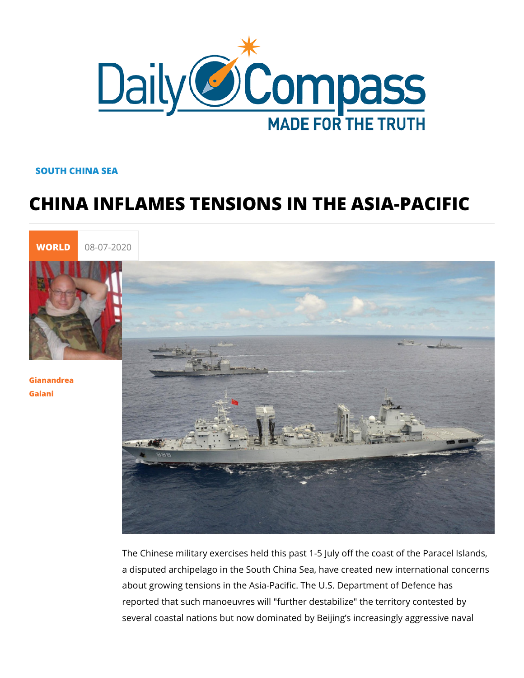## SOUTH CHINA SEA

## CHINA INFLAMES TENSIONS IN THE A

[WORL](https://newdailycompass.com/en/world)I 08-07-2020

[Gianandr](/en/gianandrea-gaiani-1)ea [Gaia](/en/gianandrea-gaiani-1)ni

> The Chinese military exercises held this past 1-5 July off the a disputed archipelago in the South China Sea, have created n about growing tensions in the Asia-Pacific. The U.S. Departme reported that such manoeuvres will "further destabilize" the te several coastal nations but now dominated by Beijing s increas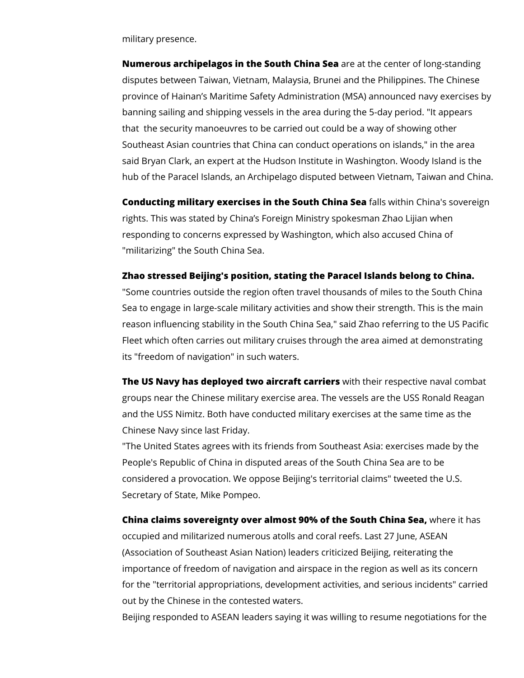military presence.

**Numerous archipelagos in the South China Sea** are at the center of long-standing disputes between Taiwan, Vietnam, Malaysia, Brunei and the Philippines. The Chinese province of Hainan's Maritime Safety Administration (MSA) announced navy exercises by banning sailing and shipping vessels in the area during the 5-day period. "It appears that the security manoeuvres to be carried out could be a way of showing other Southeast Asian countries that China can conduct operations on islands," in the area said Bryan Clark, an expert at the Hudson Institute in Washington. Woody Island is the hub of the Paracel Islands, an Archipelago disputed between Vietnam, Taiwan and China.

**Conducting military exercises in the South China Sea** falls within China's sovereign rights. This was stated by China's Foreign Ministry spokesman Zhao Lijian when responding to concerns expressed by Washington, which also accused China of "militarizing" the South China Sea.

## **Zhao stressed Beijing's position, stating the Paracel Islands belong to China.**

"Some countries outside the region often travel thousands of miles to the South China Sea to engage in large-scale military activities and show their strength. This is the main reason influencing stability in the South China Sea," said Zhao referring to the US Pacific Fleet which often carries out military cruises through the area aimed at demonstrating its "freedom of navigation" in such waters.

**The US Navy has deployed two aircraft carriers** with their respective naval combat groups near the Chinese military exercise area. The vessels are the USS Ronald Reagan and the USS Nimitz. Both have conducted military exercises at the same time as the Chinese Navy since last Friday.

"The United States agrees with its friends from Southeast Asia: exercises made by the People's Republic of China in disputed areas of the South China Sea are to be considered a provocation. We oppose Beijing's territorial claims" tweeted the U.S. Secretary of State, Mike Pompeo.

**China claims sovereignty over almost 90% of the South China Sea,** where it has occupied and militarized numerous atolls and coral reefs. Last 27 June, ASEAN (Association of Southeast Asian Nation) leaders criticized Beijing, reiterating the importance of freedom of navigation and airspace in the region as well as its concern for the "territorial appropriations, development activities, and serious incidents" carried out by the Chinese in the contested waters.

Beijing responded to ASEAN leaders saying it was willing to resume negotiations for the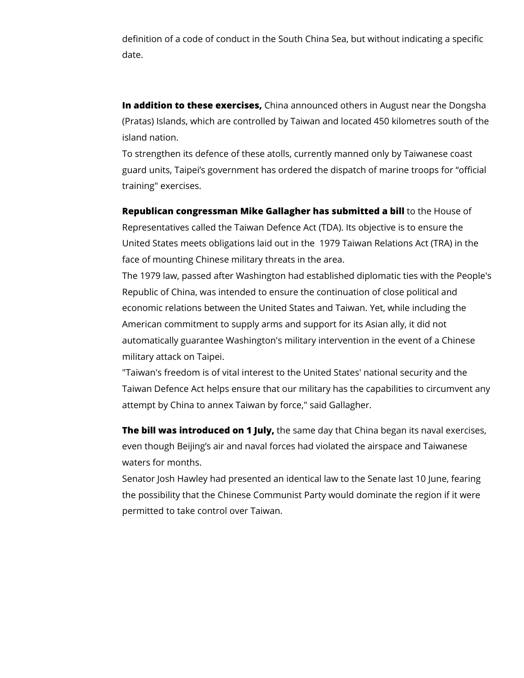definition of a code of conduct in the South China Sea, but without indicating a specific date.

**In addition to these exercises,** China announced others in August near the Dongsha (Pratas) Islands, which are controlled by Taiwan and located 450 kilometres south of the island nation.

To strengthen its defence of these atolls, currently manned only by Taiwanese coast guard units, Taipei's government has ordered the dispatch of marine troops for "official training" exercises.

**Republican congressman Mike Gallagher has submitted a bill** to the House of Representatives called the Taiwan Defence Act (TDA). Its objective is to ensure the United States meets obligations laid out in the 1979 Taiwan Relations Act (TRA) in the face of mounting Chinese military threats in the area.

The 1979 law, passed after Washington had established diplomatic ties with the People's Republic of China, was intended to ensure the continuation of close political and economic relations between the United States and Taiwan. Yet, while including the American commitment to supply arms and support for its Asian ally, it did not automatically guarantee Washington's military intervention in the event of a Chinese military attack on Taipei.

"Taiwan's freedom is of vital interest to the United States' national security and the Taiwan Defence Act helps ensure that our military has the capabilities to circumvent any attempt by China to annex Taiwan by force," said Gallagher.

**The bill was introduced on 1 July,** the same day that China began its naval exercises, even though Beijing's air and naval forces had violated the airspace and Taiwanese waters for months.

Senator Josh Hawley had presented an identical law to the Senate last 10 June, fearing the possibility that the Chinese Communist Party would dominate the region if it were permitted to take control over Taiwan.